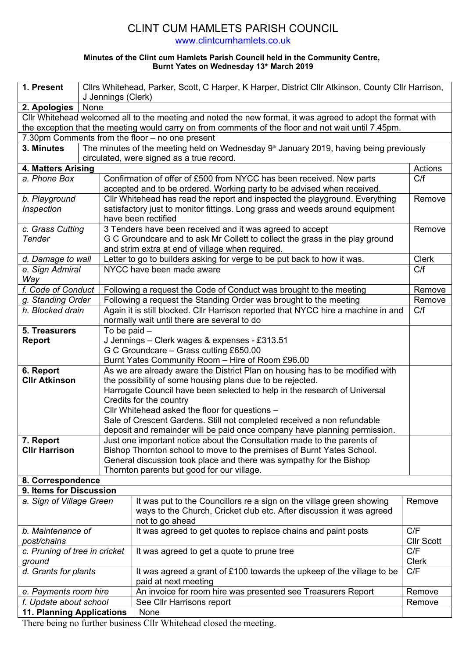## CLINT CUM HAMLETS PARISH COUNCIL

www.clintcumhamlets.co.uk

## **Minutes of the Clint cum Hamlets Parish Council held in the Community Centre, Burnt Yates on Wednesday 13th March 2019**

| 1. Present                                                                                             |      | Cllrs Whitehead, Parker, Scott, C Harper, K Harper, District Cllr Atkinson, County Cllr Harrison,<br>J Jennings (Clerk)          |                                                                                                                                                                 |                   |  |
|--------------------------------------------------------------------------------------------------------|------|----------------------------------------------------------------------------------------------------------------------------------|-----------------------------------------------------------------------------------------------------------------------------------------------------------------|-------------------|--|
| 2. Apologies                                                                                           | None |                                                                                                                                  |                                                                                                                                                                 |                   |  |
|                                                                                                        |      |                                                                                                                                  | Cllr Whitehead welcomed all to the meeting and noted the new format, it was agreed to adopt the format with                                                     |                   |  |
|                                                                                                        |      |                                                                                                                                  | the exception that the meeting would carry on from comments of the floor and not wait until 7.45pm.                                                             |                   |  |
|                                                                                                        |      |                                                                                                                                  | 7.30pm Comments from the floor - no one present                                                                                                                 |                   |  |
| The minutes of the meeting held on Wednesday $9th$ January 2019, having being previously<br>3. Minutes |      |                                                                                                                                  |                                                                                                                                                                 |                   |  |
|                                                                                                        |      |                                                                                                                                  | circulated, were signed as a true record.                                                                                                                       |                   |  |
| 4. Matters Arising                                                                                     |      |                                                                                                                                  |                                                                                                                                                                 | Actions           |  |
| a. Phone Box                                                                                           |      |                                                                                                                                  | Confirmation of offer of £500 from NYCC has been received. New parts                                                                                            | C/f               |  |
|                                                                                                        |      |                                                                                                                                  | accepted and to be ordered. Working party to be advised when received.                                                                                          |                   |  |
| b. Playground                                                                                          |      |                                                                                                                                  | Cllr Whitehead has read the report and inspected the playground. Everything                                                                                     | Remove            |  |
| Inspection                                                                                             |      |                                                                                                                                  | satisfactory just to monitor fittings. Long grass and weeds around equipment                                                                                    |                   |  |
|                                                                                                        |      |                                                                                                                                  | have been rectified                                                                                                                                             |                   |  |
| c. Grass Cutting                                                                                       |      |                                                                                                                                  | 3 Tenders have been received and it was agreed to accept                                                                                                        | Remove            |  |
| <b>Tender</b>                                                                                          |      |                                                                                                                                  | G C Groundcare and to ask Mr Collett to collect the grass in the play ground                                                                                    |                   |  |
|                                                                                                        |      |                                                                                                                                  | and strim extra at end of village when required.<br><b>Clerk</b>                                                                                                |                   |  |
| d. Damage to wall                                                                                      |      |                                                                                                                                  | Letter to go to builders asking for verge to be put back to how it was.                                                                                         |                   |  |
| e. Sign Admiral                                                                                        |      |                                                                                                                                  | NYCC have been made aware                                                                                                                                       | C/f               |  |
| Way                                                                                                    |      |                                                                                                                                  |                                                                                                                                                                 |                   |  |
| f. Code of Conduct                                                                                     |      | Following a request the Code of Conduct was brought to the meeting                                                               |                                                                                                                                                                 |                   |  |
| g. Standing Order                                                                                      |      |                                                                                                                                  | Following a request the Standing Order was brought to the meeting                                                                                               | Remove            |  |
| h. Blocked drain                                                                                       |      | Again it is still blocked. Cllr Harrison reported that NYCC hire a machine in and<br>normally wait until there are several to do |                                                                                                                                                                 |                   |  |
| 5. Treasurers                                                                                          |      | To be paid $-$                                                                                                                   |                                                                                                                                                                 |                   |  |
| <b>Report</b>                                                                                          |      |                                                                                                                                  | J Jennings - Clerk wages & expenses - £313.51                                                                                                                   |                   |  |
|                                                                                                        |      |                                                                                                                                  | G C Groundcare - Grass cutting £650.00                                                                                                                          |                   |  |
|                                                                                                        |      |                                                                                                                                  | Burnt Yates Community Room - Hire of Room £96.00                                                                                                                |                   |  |
| 6. Report                                                                                              |      |                                                                                                                                  | As we are already aware the District Plan on housing has to be modified with                                                                                    |                   |  |
| <b>Cllr Atkinson</b>                                                                                   |      |                                                                                                                                  | the possibility of some housing plans due to be rejected.                                                                                                       |                   |  |
|                                                                                                        |      |                                                                                                                                  | Harrogate Council have been selected to help in the research of Universal                                                                                       |                   |  |
|                                                                                                        |      |                                                                                                                                  | Credits for the country                                                                                                                                         |                   |  |
|                                                                                                        |      |                                                                                                                                  | Cllr Whitehead asked the floor for questions -                                                                                                                  |                   |  |
|                                                                                                        |      |                                                                                                                                  | Sale of Crescent Gardens. Still not completed received a non refundable                                                                                         |                   |  |
|                                                                                                        |      |                                                                                                                                  | deposit and remainder will be paid once company have planning permission.                                                                                       |                   |  |
| 7. Report                                                                                              |      |                                                                                                                                  | Just one important notice about the Consultation made to the parents of                                                                                         |                   |  |
| <b>Cllr Harrison</b>                                                                                   |      |                                                                                                                                  | Bishop Thornton school to move to the premises of Burnt Yates School.                                                                                           |                   |  |
|                                                                                                        |      |                                                                                                                                  | General discussion took place and there was sympathy for the Bishop                                                                                             |                   |  |
|                                                                                                        |      |                                                                                                                                  | Thornton parents but good for our village.                                                                                                                      |                   |  |
| 8. Correspondence                                                                                      |      |                                                                                                                                  |                                                                                                                                                                 |                   |  |
| 9. Items for Discussion                                                                                |      |                                                                                                                                  |                                                                                                                                                                 |                   |  |
| a. Sign of Village Green                                                                               |      |                                                                                                                                  | It was put to the Councillors re a sign on the village green showing<br>ways to the Church, Cricket club etc. After discussion it was agreed<br>not to go ahead | Remove            |  |
| b. Maintenance of                                                                                      |      |                                                                                                                                  | It was agreed to get quotes to replace chains and paint posts                                                                                                   | C/F               |  |
| post/chains                                                                                            |      |                                                                                                                                  |                                                                                                                                                                 | <b>Cllr Scott</b> |  |
| c. Pruning of tree in cricket                                                                          |      |                                                                                                                                  | It was agreed to get a quote to prune tree                                                                                                                      | C/F               |  |
| ground                                                                                                 |      |                                                                                                                                  |                                                                                                                                                                 | <b>Clerk</b>      |  |
| d. Grants for plants                                                                                   |      |                                                                                                                                  | It was agreed a grant of £100 towards the upkeep of the village to be                                                                                           | C/F               |  |
|                                                                                                        |      |                                                                                                                                  | paid at next meeting                                                                                                                                            |                   |  |
| e. Payments room hire                                                                                  |      |                                                                                                                                  | An invoice for room hire was presented see Treasurers Report                                                                                                    | Remove            |  |
| f. Update about school                                                                                 |      |                                                                                                                                  | See Cllr Harrisons report                                                                                                                                       | Remove            |  |
| <b>11. Planning Applications</b>                                                                       |      |                                                                                                                                  | None                                                                                                                                                            |                   |  |
|                                                                                                        |      |                                                                                                                                  |                                                                                                                                                                 |                   |  |

There being no further business Cllr Whitehead closed the meeting.